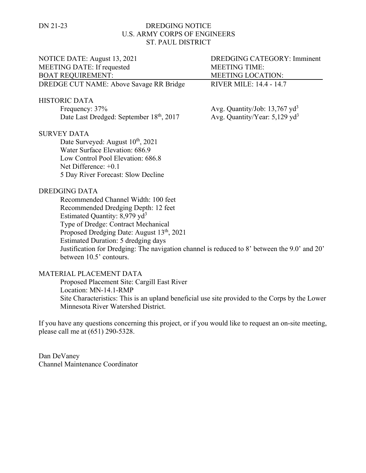## DN 21-23 DREDGING NOTICE U.S. ARMY CORPS OF ENGINEERS ST. PAUL DISTRICT

| NOTICE DATE: August 13, 2021                                                                 | <b>DREDGING CATEGORY: Imminent</b>          |
|----------------------------------------------------------------------------------------------|---------------------------------------------|
| <b>MEETING DATE: If requested</b>                                                            | <b>MEETING TIME:</b>                        |
| <b>BOAT REQUIREMENT:</b>                                                                     | MEETING LOCATION:                           |
| DREDGE CUT NAME: Above Savage RR Bridge                                                      | <b>RIVER MILE: 14.4 - 14.7</b>              |
| <b>HISTORIC DATA</b>                                                                         |                                             |
| Frequency: 37%                                                                               | Avg. Quantity/Job: $13,767$ yd <sup>3</sup> |
| Date Last Dredged: September 18th, 2017                                                      | Avg. Quantity/Year: $5,129$ yd <sup>3</sup> |
| <b>SURVEY DATA</b>                                                                           |                                             |
| Date Surveyed: August 10 <sup>th</sup> , 2021                                                |                                             |
| Water Surface Elevation: 686.9                                                               |                                             |
| Low Control Pool Elevation: 686.8                                                            |                                             |
| Net Difference: $+0.1$                                                                       |                                             |
| 5 Day River Forecast: Slow Decline                                                           |                                             |
| <b>DREDGING DATA</b>                                                                         |                                             |
| Recommended Channel Width: 100 feet                                                          |                                             |
| Recommended Dredging Depth: 12 feet                                                          |                                             |
| Estimated Quantity: 8,979 yd <sup>3</sup>                                                    |                                             |
| Type of Dredge: Contract Mechanical                                                          |                                             |
| Proposed Dredging Date: August 13 <sup>th</sup> , 2021                                       |                                             |
| Estimated Duration: 5 dredging days                                                          |                                             |
| Justification for Dredging: The navigation channel is reduced to 8' between the 9.0' and 20' |                                             |
| between 10.5' contours.                                                                      |                                             |
| MATEDIAI DI ACEMENT DATA                                                                     |                                             |

## MATERIAL PLACEMENT DATA

Proposed Placement Site: Cargill East River Location: MN-14.1-RMP Site Characteristics: This is an upland beneficial use site provided to the Corps by the Lower Minnesota River Watershed District.

If you have any questions concerning this project, or if you would like to request an on-site meeting, please call me at (651) 290-5328.

Dan DeVaney Channel Maintenance Coordinator